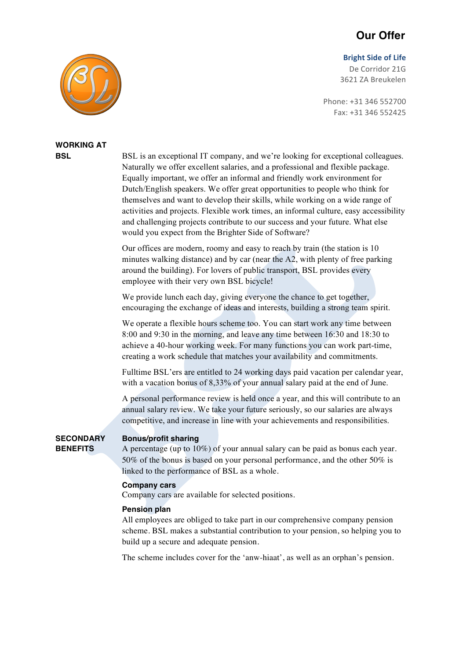## **Our Offer**

#### **Bright Side of Life**

De Corridor 21G 3621 ZA Breukelen

Phone: +31 346 552700 Fax: +31 346 552425



# **WORKING AT**

**BSL** ISSEX is an exceptional IT company, and we're looking for exceptional colleagues. Naturally we offer excellent salaries, and a professional and flexible package. Equally important, we offer an informal and friendly work environment for Dutch/English speakers. We offer great opportunities to people who think for themselves and want to develop their skills, while working on a wide range of activities and projects. Flexible work times, an informal culture, easy accessibility and challenging projects contribute to our success and your future. What else would you expect from the Brighter Side of Software?

> Our offices are modern, roomy and easy to reach by train (the station is 10 minutes walking distance) and by car (near the A2, with plenty of free parking around the building). For lovers of public transport, BSL provides every employee with their very own BSL bicycle!

> We provide lunch each day, giving everyone the chance to get together, encouraging the exchange of ideas and interests, building a strong team spirit.

> We operate a flexible hours scheme too. You can start work any time between 8:00 and 9:30 in the morning, and leave any time between 16:30 and 18:30 to achieve a 40-hour working week. For many functions you can work part-time, creating a work schedule that matches your availability and commitments.

Fulltime BSL'ers are entitled to 24 working days paid vacation per calendar year, with a vacation bonus of 8,33% of your annual salary paid at the end of June.

A personal performance review is held once a year, and this will contribute to an annual salary review. We take your future seriously, so our salaries are always competitive, and increase in line with your achievements and responsibilities.

### **SECONDARY Bonus/profit sharing**

**BENEFITS** A percentage (up to 10%) of your annual salary can be paid as bonus each year. 50% of the bonus is based on your personal performance, and the other 50% is linked to the performance of BSL as a whole.

#### **Company cars**

Company cars are available for selected positions.

#### **Pension plan**

All employees are obliged to take part in our comprehensive company pension scheme. BSL makes a substantial contribution to your pension, so helping you to build up a secure and adequate pension.

The scheme includes cover for the 'anw-hiaat', as well as an orphan's pension.